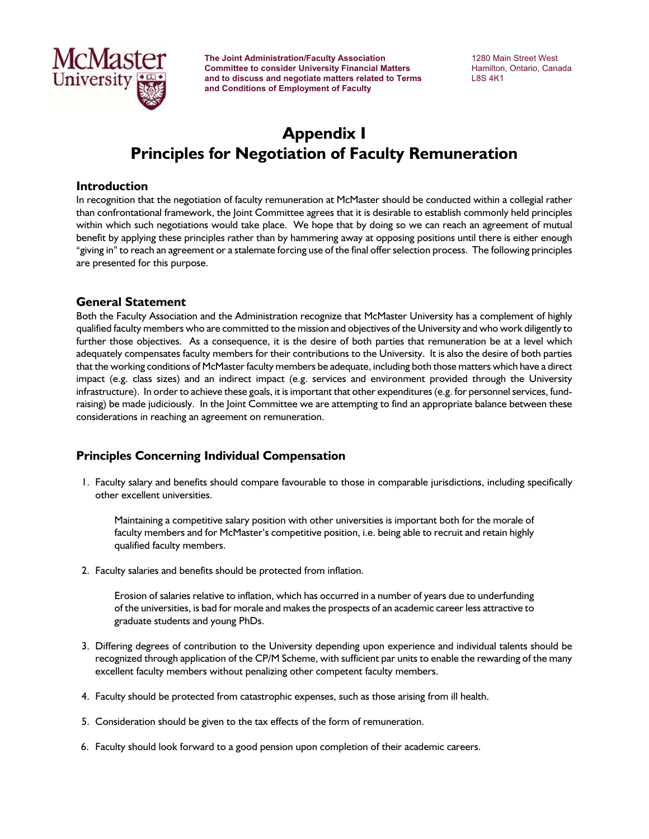

**The Joint Administration/Faculty Association** 1280 Main Street West **Committee to consider University Financial Matters Filther Committee to consider University Financial Matters**<br> **EXECUSE:** Hamilton, Ontario, Canada<br>
LAS 4K1 and to discuss and negotiate matters related to Terms  **and Conditions of Employment of Faculty**

# **Appendix I Principles for Negotiation of Faculty Remuneration**

### **Introduction**

In recognition that the negotiation of faculty remuneration at McMaster should be conducted within a collegial rather than confrontational framework, the Joint Committee agrees that it is desirable to establish commonly held principles within which such negotiations would take place. We hope that by doing so we can reach an agreement of mutual benefit by applying these principles rather than by hammering away at opposing positions until there is either enough "giving in" to reach an agreement or a stalemate forcing use of the final offer selection process. The following principles are presented for this purpose.

#### **General Statement**

Both the Faculty Association and the Administration recognize that McMaster University has a complement of highly qualified faculty members who are committed to the mission and objectives of the University and who work diligently to further those objectives. As a consequence, it is the desire of both parties that remuneration be at a level which adequately compensates faculty members for their contributions to the University. It is also the desire of both parties that the working conditions of McMaster faculty members be adequate, including both those matters which have a direct impact (e.g. class sizes) and an indirect impact (e.g. services and environment provided through the University infrastructure). In order to achieve these goals, it is important that other expenditures (e.g. for personnel services, fundraising) be made judiciously. In the Joint Committee we are attempting to find an appropriate balance between these considerations in reaching an agreement on remuneration.

## **Principles Concerning Individual Compensation**

 1. Faculty salary and benefits should compare favourable to those in comparable jurisdictions, including specifically other excellent universities.

Maintaining a competitive salary position with other universities is important both for the morale of faculty members and for McMaster's competitive position, i.e. being able to recruit and retain highly qualified faculty members.

2. Faculty salaries and benefits should be protected from inflation.

Erosion of salaries relative to inflation, which has occurred in a number of years due to underfunding of the universities, is bad for morale and makes the prospects of an academic career less attractive to graduate students and young PhDs.

- 3. Differing degrees of contribution to the University depending upon experience and individual talents should be recognized through application of the CP/M Scheme, with sufficient par units to enable the rewarding of the many excellent faculty members without penalizing other competent faculty members.
- 4. Faculty should be protected from catastrophic expenses, such as those arising from ill health.
- 5. Consideration should be given to the tax effects of the form of remuneration.
- 6. Faculty should look forward to a good pension upon completion of their academic careers.